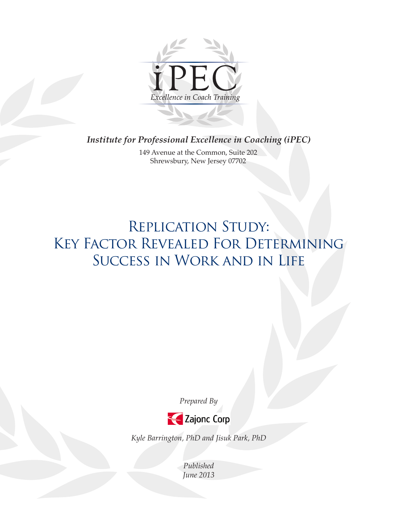

*Institute for Professional Excellence in Coaching (iPEC)*

149 Avenue at the Common, Suite 202 Shrewsbury, New Jersey 07702

# REPLICATION STUDY: KEY FACTOR REVEALED FOR DETERMINING Success in Work and in Life

*Prepared By* 



*Kyle Barrington, PhD and Jisuk Park, PhD*

*Published June 2013*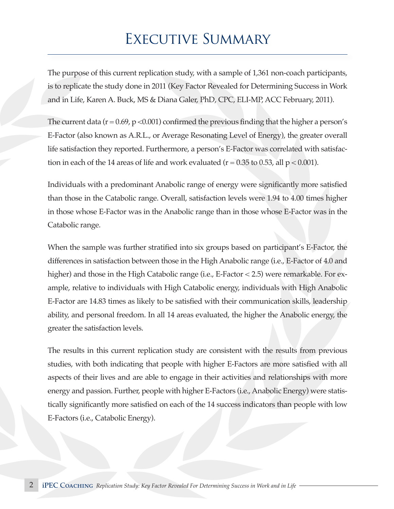## Executive Summary

The purpose of this current replication study, with a sample of 1,361 non-coach participants, is to replicate the study done in 2011 (Key Factor Revealed for Determining Success in Work and in Life, Karen A. Buck, MS & Diana Galer, PhD, CPC, ELI-MP, ACC February, 2011).

The current data ( $r = 0.69$ ,  $p < 0.001$ ) confirmed the previous finding that the higher a person's E-Factor (also known as A.R.L., or Average Resonating Level of Energy), the greater overall life satisfaction they reported. Furthermore, a person's E-Factor was correlated with satisfaction in each of the 14 areas of life and work evaluated ( $r = 0.35$  to 0.53, all  $p < 0.001$ ).

Individuals with a predominant Anabolic range of energy were significantly more satisfied than those in the Catabolic range. Overall, satisfaction levels were 1.94 to 4.00 times higher in those whose E-Factor was in the Anabolic range than in those whose E-Factor was in the Catabolic range.

When the sample was further stratified into six groups based on participant's E-Factor, the differences in satisfaction between those in the High Anabolic range (i.e., E-Factor of 4.0 and higher) and those in the High Catabolic range (i.e., E-Factor < 2.5) were remarkable. For example, relative to individuals with High Catabolic energy, individuals with High Anabolic E-Factor are 14.83 times as likely to be satisfied with their communication skills, leadership ability, and personal freedom. In all 14 areas evaluated, the higher the Anabolic energy, the greater the satisfaction levels.

The results in this current replication study are consistent with the results from previous studies, with both indicating that people with higher E-Factors are more satisfied with all aspects of their lives and are able to engage in their activities and relationships with more energy and passion. Further, people with higher E-Factors (i.e., Anabolic Energy) were statistically significantly more satisfied on each of the 14 success indicators than people with low E-Factors (i.e., Catabolic Energy).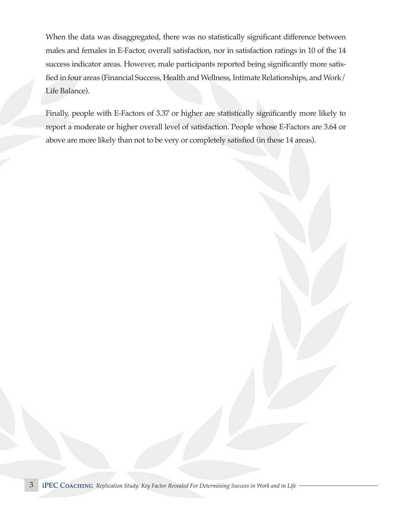When the data was disaggregated, there was no statistically significant difference between males and females in E-Factor, overall satisfaction, nor in satisfaction ratings in 10 of the 14 success indicator areas. However, male participants reported being significantly more satisfied in four areas (Financial Success, Health and Wellness, Intimate Relationships, and Work/ Life Balance).

Finally, people with E-Factors of 3.37 or higher are statistically significantly more likely to report a moderate or higher overall level of satisfaction. People whose E-Factors are 3.64 or above are more likely than not to be very or completely satisfied (in these 14 areas).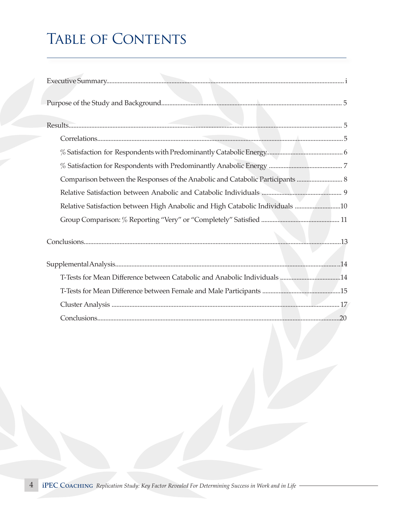# TABLE OF CONTENTS

| Comparison between the Responses of the Anabolic and Catabolic Participants  8 |  |
|--------------------------------------------------------------------------------|--|
|                                                                                |  |
| Relative Satisfaction between High Anabolic and High Catabolic Individuals 10  |  |
|                                                                                |  |
|                                                                                |  |
|                                                                                |  |
|                                                                                |  |
|                                                                                |  |
|                                                                                |  |
|                                                                                |  |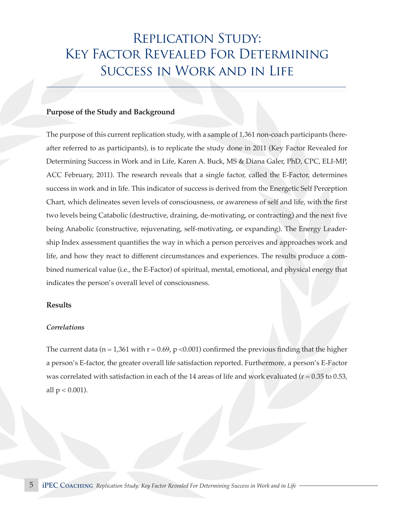## Replication Study: Key Factor Revealed For Determining Success in Work and in Life

#### **Purpose of the Study and Background**

The purpose of this current replication study, with a sample of 1,361 non-coach participants (hereafter referred to as participants), is to replicate the study done in 2011 (Key Factor Revealed for Determining Success in Work and in Life, Karen A. Buck, MS & Diana Galer, PhD, CPC, ELI-MP, ACC February, 2011). The research reveals that a single factor, called the E-Factor, determines success in work and in life. This indicator of success is derived from the Energetic Self Perception Chart, which delineates seven levels of consciousness, or awareness of self and life, with the first two levels being Catabolic (destructive, draining, de-motivating, or contracting) and the next five being Anabolic (constructive, rejuvenating, self-motivating, or expanding). The Energy Leadership Index assessment quantifies the way in which a person perceives and approaches work and life, and how they react to different circumstances and experiences. The results produce a combined numerical value (i.e., the E-Factor) of spiritual, mental, emotional, and physical energy that indicates the person's overall level of consciousness.

#### **Results**

#### *Correlations*

The current data ( $n = 1,361$  with  $r = 0.69$ ,  $p < 0.001$ ) confirmed the previous finding that the higher a person's E-factor, the greater overall life satisfaction reported. Furthermore, a person's E-Factor was correlated with satisfaction in each of the 14 areas of life and work evaluated ( $r = 0.35$  to 0.53, all  $p < 0.001$ ).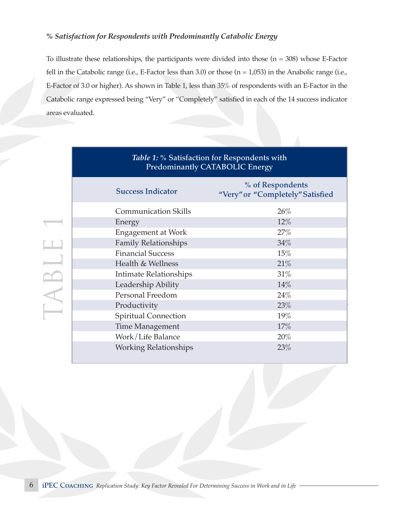## *% Satisfaction for Respondents with Predominantly Catabolic Energy*

To illustrate these relationships, the participants were divided into those  $(n = 308)$  whose E-Factor fell in the Catabolic range (i.e., E-Factor less than 3.0) or those  $(n = 1,053)$  in the Anabolic range (i.e., E-Factor of 3.0 or higher). As shown in Table 1, less than 35% of respondents with an E-Factor in the Catabolic range expressed being "Very" or "Completely" satisfied in each of the 14 success indicator areas evaluated.

| Table 1: % Satisfaction for Respondents with<br><b>Predominantly CATABOLIC Energy</b> |                                                      |  |  |  |  |
|---------------------------------------------------------------------------------------|------------------------------------------------------|--|--|--|--|
| <b>Success Indicator</b>                                                              | % of Respondents<br>"Very" or "Completely" Satisfied |  |  |  |  |
| <b>Communication Skills</b>                                                           | 26%                                                  |  |  |  |  |
| Energy                                                                                | $12\%$                                               |  |  |  |  |
| <b>Engagement at Work</b>                                                             | 27%                                                  |  |  |  |  |
| <b>Family Relationships</b>                                                           | $34\%$                                               |  |  |  |  |
| <b>Financial Success</b>                                                              | 15%                                                  |  |  |  |  |
| Health & Wellness                                                                     | 21%                                                  |  |  |  |  |
| Intimate Relationships                                                                | 31%                                                  |  |  |  |  |
| Leadership Ability                                                                    | 14%                                                  |  |  |  |  |
| Personal Freedom                                                                      | 24%                                                  |  |  |  |  |
| Productivity                                                                          | 23%                                                  |  |  |  |  |
| <b>Spiritual Connection</b>                                                           | 19%                                                  |  |  |  |  |
| <b>Time Management</b>                                                                | 17%                                                  |  |  |  |  |
| Work/Life Balance                                                                     | 20%                                                  |  |  |  |  |
| <b>Working Relationships</b>                                                          | 23%                                                  |  |  |  |  |

#### 6 iPEC Coaching *Replication Study: Key Factor Revealed For Determining Success in Work and in Life*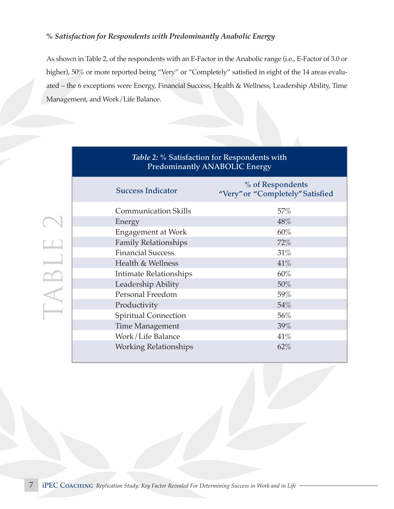## *% Satisfaction for Respondents with Predominantly Anabolic Energy*

*hlo 2: %* Satisfaction

As shown in Table 2, of the respondents with an E-Factor in the Anabolic range (i.e., E-Factor of 3.0 or higher), 50% or more reported being "Very" or "Completely" satisfied in eight of the 14 areas evaluated – the 6 exceptions were Energy, Financial Success, Health & Wellness, Leadership Ability, Time Management, and Work/Life Balance.

| <i>havie 2.</i> 70 Danslaction for Respondents with<br>Predominantly ANABOLIC Energy |                                                      |  |  |  |  |
|--------------------------------------------------------------------------------------|------------------------------------------------------|--|--|--|--|
| <b>Success Indicator</b>                                                             | % of Respondents<br>"Very" or "Completely" Satisfied |  |  |  |  |
| <b>Communication Skills</b>                                                          | $57\%$                                               |  |  |  |  |
| Energy                                                                               | 48%                                                  |  |  |  |  |
| <b>Engagement at Work</b>                                                            | 60%                                                  |  |  |  |  |
| <b>Family Relationships</b>                                                          | $72\%$                                               |  |  |  |  |
| <b>Financial Success</b>                                                             | 31%                                                  |  |  |  |  |
| Health & Wellness<br>41%                                                             |                                                      |  |  |  |  |
| Intimate Relationships                                                               | 60%                                                  |  |  |  |  |
| Leadership Ability                                                                   | 50%                                                  |  |  |  |  |
| Personal Freedom                                                                     | 59%                                                  |  |  |  |  |
| Productivity                                                                         | 54%                                                  |  |  |  |  |
| <b>Spiritual Connection</b>                                                          | 56%                                                  |  |  |  |  |
| <b>Time Management</b>                                                               | 39%                                                  |  |  |  |  |
| Work/Life Balance                                                                    | 41%                                                  |  |  |  |  |
| <b>Working Relationships</b>                                                         | 62%                                                  |  |  |  |  |

### 7 iPEC Coaching *Replication Study: Key Factor Revealed For Determining Success in Work and in Life*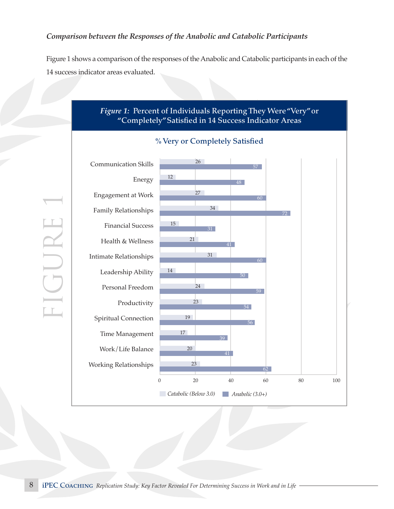### *Comparison between the Responses of the Anabolic and Catabolic Participants*

Figure 1 shows a comparison of the responses of the Anabolic and Catabolic participants in each of the 14 success indicator areas evaluated.



FIGURE 1 GURE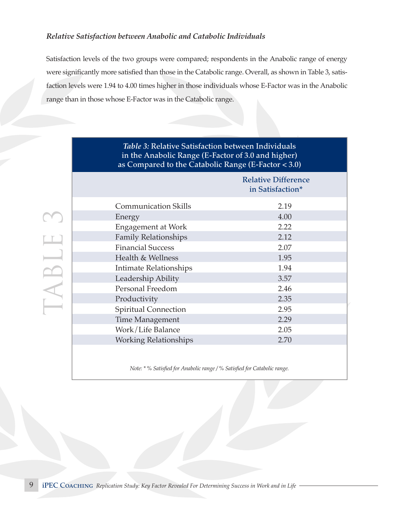### *Relative Satisfaction between Anabolic and Catabolic Individuals*

TABLE 3TABLE

Satisfaction levels of the two groups were compared; respondents in the Anabolic range of energy were significantly more satisfied than those in the Catabolic range. Overall, as shown in Table 3, satisfaction levels were 1.94 to 4.00 times higher in those individuals whose E-Factor was in the Anabolic range than in those whose E-Factor was in the Catabolic range.

| in the Anabolic Range (E-Factor of 3.0 and higher)<br>as Compared to the Catabolic Range (E-Factor < 3.0) |                                                |  |
|-----------------------------------------------------------------------------------------------------------|------------------------------------------------|--|
|                                                                                                           | <b>Relative Difference</b><br>in Satisfaction* |  |
| <b>Communication Skills</b>                                                                               | 2.19                                           |  |
| Energy                                                                                                    | 4.00                                           |  |
| Engagement at Work                                                                                        | 2.22                                           |  |
| <b>Family Relationships</b>                                                                               | 2.12                                           |  |
| <b>Financial Success</b>                                                                                  | 2.07                                           |  |
| Health & Wellness                                                                                         | 1.95                                           |  |
| Intimate Relationships                                                                                    | 1.94                                           |  |
| Leadership Ability                                                                                        | 3.57                                           |  |
| Personal Freedom                                                                                          | 2.46                                           |  |
| Productivity                                                                                              | 2.35                                           |  |
| Spiritual Connection                                                                                      | 2.95                                           |  |
| <b>Time Management</b>                                                                                    | 2.29                                           |  |
| Work/Life Balance                                                                                         | 2.05                                           |  |
| <b>Working Relationships</b>                                                                              | 2.70                                           |  |
|                                                                                                           |                                                |  |

*Table 3:* Relative Satisfaction between Individuals

*Note: \* % Satisfied for Anabolic range / % Satisfied for Catabolic range.*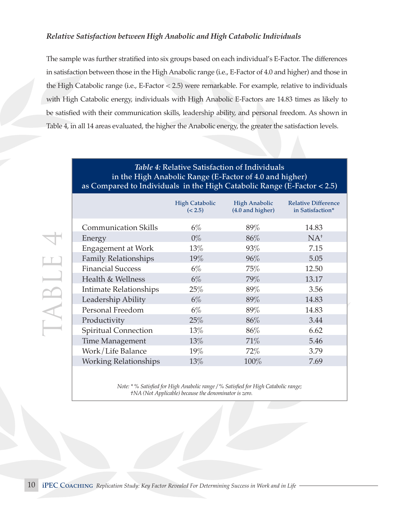#### *Relative Satisfaction between High Anabolic and High Catabolic Individuals*

The sample was further stratified into six groups based on each individual's E-Factor. The differences in satisfaction between those in the High Anabolic range (i.e., E-Factor of 4.0 and higher) and those in the High Catabolic range (i.e., E-Factor < 2.5) were remarkable. For example, relative to individuals with High Catabolic energy, individuals with High Anabolic E-Factors are 14.83 times as likely to be satisfied with their communication skills, leadership ability, and personal freedom. As shown in Table 4, in all 14 areas evaluated, the higher the Anabolic energy, the greater the satisfaction levels.

## *Table 4:* Relative Satisfaction of Individuals in the High Anabolic Range (E-Factor of 4.0 and higher) as Compared to Individuals in the High Catabolic Range (E-Factor < 2.5)

|                              | <b>High Catabolic</b><br>(< 2.5) | <b>High Anabolic</b><br>(4.0 and higher) | <b>Relative Difference</b><br>in Satisfaction* |
|------------------------------|----------------------------------|------------------------------------------|------------------------------------------------|
| <b>Communication Skills</b>  | $6\%$                            | 89%                                      | 14.83                                          |
| Energy                       | $0\%$                            | 86%                                      | $NA^+$                                         |
| <b>Engagement at Work</b>    | 13%                              | 93%                                      | 7.15                                           |
| <b>Family Relationships</b>  | 19%                              | 96%                                      | 5.05                                           |
| <b>Financial Success</b>     | $6\%$                            | 75%                                      | 12.50                                          |
| Health & Wellness            | $6\%$                            | 79%                                      | 13.17                                          |
| Intimate Relationships       | 25%                              | 89%                                      | 3.56                                           |
| Leadership Ability           | $6\%$                            | 89%                                      | 14.83                                          |
| Personal Freedom             | $6\%$                            | 89%                                      | 14.83                                          |
| Productivity                 | 25%                              | 86%                                      | 3.44                                           |
| <b>Spiritual Connection</b>  | $13\%$                           | 86%                                      | 6.62                                           |
| <b>Time Management</b>       | $13\%$                           | 71%                                      | 5.46                                           |
| Work/Life Balance            | 19%                              | $72\%$                                   | 3.79                                           |
| <b>Working Relationships</b> | 13%                              | 100%                                     | 7.69                                           |

*Note: \* % Satisfied for High Anabolic range / % Satisfied for High Catabolic range; †NA (Not Applicable) because the denominator is zero.*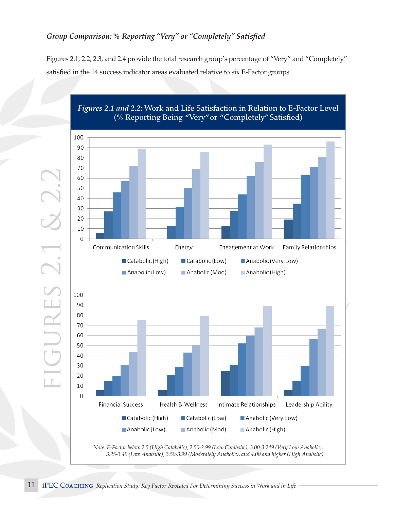## *Group Comparison: % Reporting "Very" or "Completely" Satisfied*

Figures 2.1, 2.2, 2.3, and 2.4 provide the total research group's percentage of "Very" and "Completely" satisfied in the 14 success indicator areas evaluated relative to six E-Factor groups.



*Figures 2.1 and 2.2:* Work and Life Satisfaction in Relation to E-Factor Level

Figures 2.1, 2.2, 2.3, and 2.4 provide the total research group's percentage of "very" and

Figures 2.1, 2.2, 2.3, and 2.4 provide the total research group's percentage of "very" and

 $\begin{bmatrix} \phantom{-} & \phantom{-} & \phantom{-} & \phantom{-} & \phantom{-} & \phantom{-} & \phantom{-} & \phantom{-} & \phantom{-} & \phantom{-} & \phantom{-} & \phantom{-} & \phantom{-} & \phantom{-} & \phantom{-} & \phantom{-} & \phantom{-} & \phantom{-} & \phantom{-} & \phantom{-} & \phantom{-} & \phantom{-} & \phantom{-} & \phantom{-} & \phantom{-} & \phantom{-} & \phantom{-} & \phantom{-} & \phantom{-} & \phantom{-} & \phantom{-} & \phantom{-} & \phantom{-} & \phantom{-} & \phantom{-} & \phantom{-$ 

 $\left\langle \cdot \right\rangle$  . The  $\left\langle \cdot \right\rangle$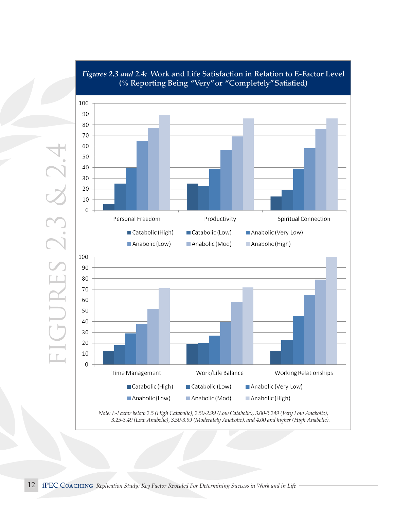

#### Figures 2.3 and 2.4: Work and Life Satisfaction in Relation to E-Factor Level (% Reporting Being "Very" or "Completely" Satisfied) **and 2.4: Work and Life Satisfaction in Relation to E-F (% Reporting Being "Very" or "Completely" Satisfied)**

*Note: E-Factor below 2.5 (High Catabolic), 2.50-2.99 (Low Catabolic), 3.00-3.249 (Very Low Anabolic), Note*. E-Factor below 2.5 (High Catabolic), 2.50-2.99 (Low Catabolic), 3.00-3.249 (Very Low 3.25-3.49 (Low Anabolic), 3.50-3.99 (Moderately Anabolic), and 4.00 and higher (High Anabolic).

 $A = \{A \mid A \in \mathcal{A} \mid A \neq 0\}$ 

 $\overline{\phantom{a}}$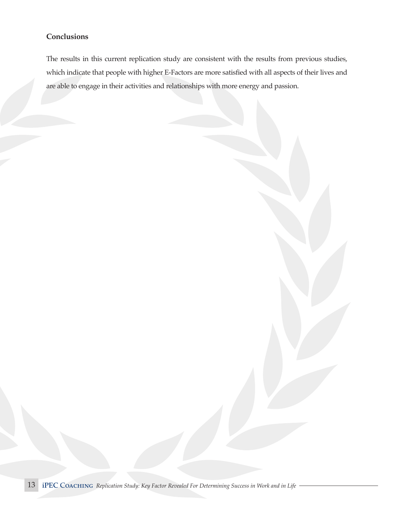## **Conclusions**

The results in this current replication study are consistent with the results from previous studies, which indicate that people with higher E-Factors are more satisfied with all aspects of their lives and are able to engage in their activities and relationships with more energy and passion.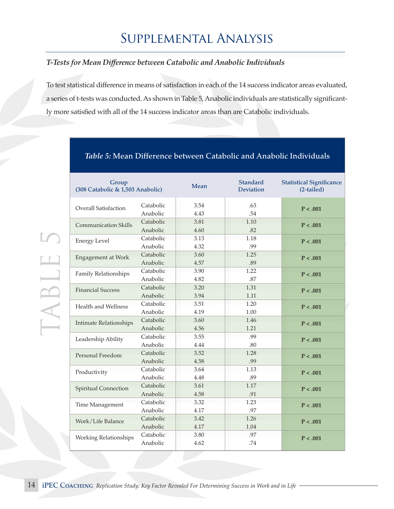## *T-Tests for Mean Difference between Catabolic and Anabolic Individuals*

To test statistical difference in means of satisfaction in each of the 14 success indicator areas evaluated, a series of t-tests was conducted. As shown in Table 5, Anabolic individuals are statistically significantly more satisfied with all of the 14 success indicator areas than are Catabolic individuals.

| Group<br>(308 Catabolic & 1,503 Anabolic) |                       | Mean         | Standard<br><b>Deviation</b> | <b>Statistical Significance</b><br>(2-tailed) |
|-------------------------------------------|-----------------------|--------------|------------------------------|-----------------------------------------------|
| Overall Satisfaction                      | Catabolic<br>Anabolic | 3.54<br>4.43 | .63<br>.54                   | P < .001                                      |
| <b>Communication Skills</b>               | Catabolic<br>Anabolic | 3.81<br>4.60 | 1.10<br>.82                  | P < .001                                      |
| <b>Energy Level</b>                       | Catabolic<br>Anabolic | 3.13<br>4.32 | 1.18<br>.99                  | P < .001                                      |
| Engagement at Work                        | Catabolic<br>Anabolic | 3.60<br>4.57 | 1.25<br>.89                  | P < .001                                      |
| Family Relationships                      | Catabolic<br>Anabolic | 3.90<br>4.82 | 1.22<br>.87                  | P < .001                                      |
| <b>Financial Success</b>                  | Catabolic<br>Anabolic | 3.20<br>3.94 | 1.31<br>1.11                 | P < .001                                      |
| <b>Health and Wellness</b>                | Catabolic<br>Anabolic | 3.51<br>4.19 | 1.20<br>1.00                 | P < .001                                      |
| <b>Intimate Relationships</b>             | Catabolic<br>Anabolic | 3.60<br>4.56 | 1.46<br>1.21                 | P < .001                                      |
| Leadership Ability                        | Catabolic<br>Anabolic | 3.55<br>4.44 | .99<br>.80                   | P < .001                                      |
| Personal Freedom                          | Catabolic<br>Anabolic | 3.52<br>4.58 | 1.28<br>.99                  | P < .001                                      |
| Productivity                              | Catabolic<br>Anabolic | 3.64<br>4.48 | 1.13<br>.89                  | P < .001                                      |
| <b>Spiritual Connection</b>               | Catabolic<br>Anabolic | 3.61<br>4.58 | 1.17<br>.91                  | P < .001                                      |
| Time Management                           | Catabolic<br>Anabolic | 3.32<br>4.17 | 1.23<br>.97                  | P < .001                                      |
| Work/Life Balance                         | Catabolic<br>Anabolic | 3.42<br>4.17 | 1.26<br>1.04                 | P < .001                                      |
| <b>Working Relationships</b>              | Catabolic<br>Anabolic | 3.80<br>4.62 | .97<br>.74                   | P < .001                                      |

## *Table 5:* Mean Difference between Catabolic and Anabolic Individuals

TABLE 5

TABLE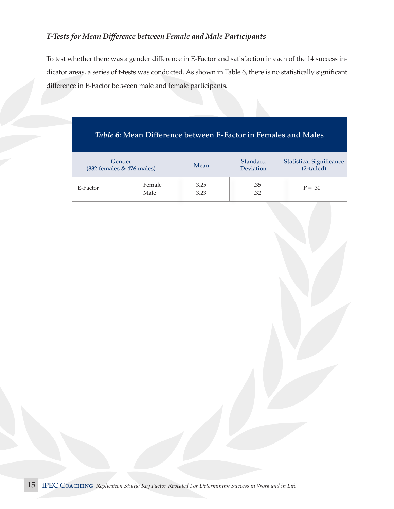## *T-Tests for Mean Difference between Female and Male Participants*

To test whether there was a gender difference in E-Factor and satisfaction in each of the 14 success indicator areas, a series of t-tests was conducted. As shown in Table 6, there is no statistically significant difference in E-Factor between male and female participants.

|          | Gender<br>(882 females & 476 males) | Mean         | Standard<br>Deviation | <b>Statistical Significance</b><br>(2-tailed) |
|----------|-------------------------------------|--------------|-----------------------|-----------------------------------------------|
| E-Factor | Female<br>Male                      | 3.25<br>3.23 | .35<br>.32            | $P=.30$                                       |

## *Table 6:* Mean Difference between E-Factor in Females and Males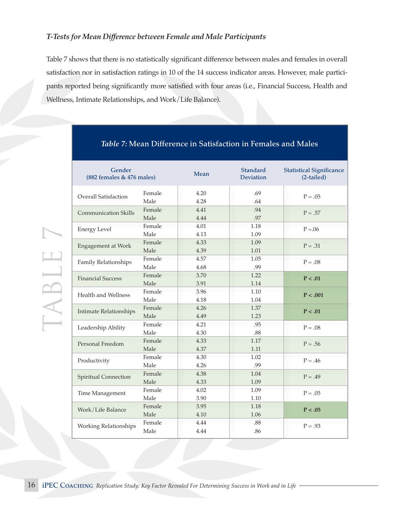### *T-Tests for Mean Difference between Female and Male Participants*

Table 7 shows that there is no statistically significant difference between males and females in overall satisfaction nor in satisfaction ratings in 10 of the 14 success indicator areas. However, male participants reported being significantly more satisfied with four areas (i.e., Financial Success, Health and Wellness, Intimate Relationships, and Work/Life Balance).

| Gender<br>(882 females & 476 males) |                | Mean         | <b>Standard</b><br><b>Deviation</b> | <b>Statistical Significance</b><br>(2-tailed) |
|-------------------------------------|----------------|--------------|-------------------------------------|-----------------------------------------------|
| <b>Overall Satisfaction</b>         | Female<br>Male | 4.20<br>4.28 | .69<br>.64                          | $P=.05$                                       |
| <b>Communication Skills</b>         | Female<br>Male | 4.41<br>4.44 | .94<br>.97                          | $P = .57$                                     |
| <b>Energy Level</b>                 | Female<br>Male | 4.01<br>4.13 | 1.18<br>1.09                        | $P = 0.06$                                    |
| <b>Engagement at Work</b>           | Female<br>Male | 4.33<br>4.39 | 1.09<br>1.01                        | $P = .31$                                     |
| Family Relationships                | Female<br>Male | 4.57<br>4.68 | 1.05<br>.99                         | $P=.08$                                       |
| <b>Financial Success</b>            | Female<br>Male | 3.70<br>3.91 | 1.22<br>1.14                        | P < .01                                       |
| Health and Wellness                 | Female<br>Male | 3.96<br>4.18 | 1.10<br>1.04                        | P < .001                                      |
| <b>Intimate Relationships</b>       | Female<br>Male | 4.26<br>4.49 | 1.37<br>1.23                        | P < .01                                       |
| Leadership Ability                  | Female<br>Male | 4.21<br>4.30 | .95<br>.88                          | $P = .08$                                     |
| Personal Freedom                    | Female<br>Male | 4.33<br>4.37 | 1.17<br>1.11                        | $P = .56$                                     |
| Productivity                        | Female<br>Male | 4.30<br>4.26 | 1.02<br>.99                         | $P = .46$                                     |
| <b>Spiritual Connection</b>         | Female<br>Male | 4.38<br>4.33 | 1.04<br>1.09                        | $P = .49$                                     |
| Time Management                     | Female<br>Male | 4.02<br>3.90 | 1.09<br>1.10                        | $P=.05$                                       |
| Work/Life Balance                   | Female<br>Male | 3.95<br>4.10 | 1.18<br>1.06                        | P < .05                                       |
| <b>Working Relationships</b>        | Female<br>Male | 4.44<br>4.44 | .88<br>.86                          | $P = .93$                                     |

## *Table 7:* Mean Difference in Satisfaction in Females and Males

TABLE 7

TABLE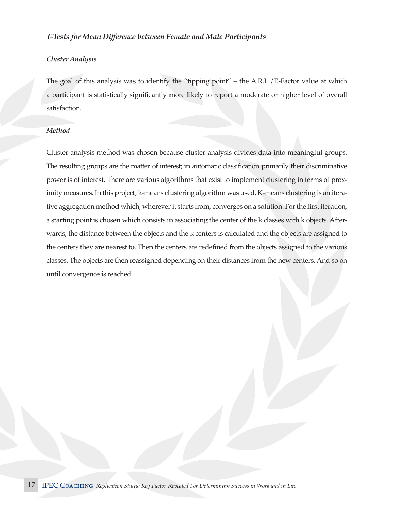#### *T-Tests for Mean Difference between Female and Male Participants*

#### *Cluster Analysis*

The goal of this analysis was to identify the "tipping point" – the A.R.L./E-Factor value at which a participant is statistically significantly more likely to report a moderate or higher level of overall satisfaction.

#### *Method*

Cluster analysis method was chosen because cluster analysis divides data into meaningful groups. The resulting groups are the matter of interest; in automatic classification primarily their discriminative power is of interest. There are various algorithms that exist to implement clustering in terms of proximity measures. In this project, k-means clustering algorithm was used. K-means clustering is an iterative aggregation method which, wherever it starts from, converges on a solution. For the first iteration, a starting point is chosen which consists in associating the center of the k classes with k objects. Afterwards, the distance between the objects and the k centers is calculated and the objects are assigned to the centers they are nearest to. Then the centers are redefined from the objects assigned to the various classes. The objects are then reassigned depending on their distances from the new centers. And so on until convergence is reached.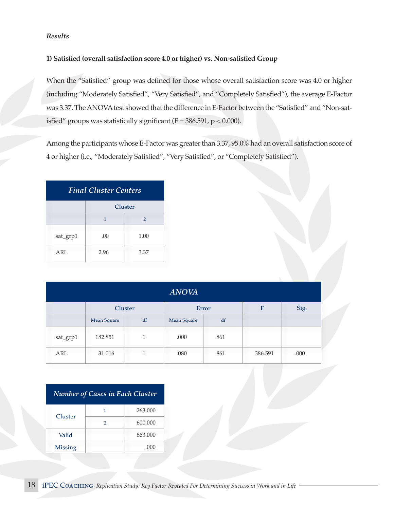#### *Results*

#### **1) Satisfied (overall satisfaction score 4.0 or higher) vs. Non-satisfied Group**

When the "Satisfied" group was defined for those whose overall satisfaction score was 4.0 or higher (including "Moderately Satisfied", "Very Satisfied", and "Completely Satisfied"), the average E-Factor was 3.37. The ANOVA test showed that the difference in E-Factor between the "Satisfied" and "Non-satisfied" groups was statistically significant ( $F = 386.591$ ,  $p < 0.000$ ).

Among the participants whose E-Factor was greater than 3.37, 95.0% had an overall satisfaction score of 4 or higher (i.e., "Moderately Satisfied", "Very Satisfied", or "Completely Satisfied").

| <b>Final Cluster Centers</b> |                                |      |  |  |
|------------------------------|--------------------------------|------|--|--|
|                              | Cluster                        |      |  |  |
|                              | $\mathbf{1}$<br>$\overline{2}$ |      |  |  |
| sat_grp1                     | .00                            | 1.00 |  |  |
| ARL                          | 2.96                           | 3.37 |  |  |

| <b>ANOVA</b> |             |    |             |       |         |      |
|--------------|-------------|----|-------------|-------|---------|------|
|              | Cluster     |    |             | Error | F       | Sig. |
|              | Mean Square | df | Mean Square | df    |         |      |
| sat_grp1     | 182.851     |    | .000        | 861   |         |      |
| ARL          | 31.016      |    | .080        | 861   | 386.591 | .000 |

| <b>Number of Cases in Each Cluster</b> |   |         |  |  |
|----------------------------------------|---|---------|--|--|
| Cluster                                | 1 | 263.000 |  |  |
|                                        | 2 | 600,000 |  |  |
| Valid                                  |   | 863,000 |  |  |
| <b>Missing</b><br>.000                 |   |         |  |  |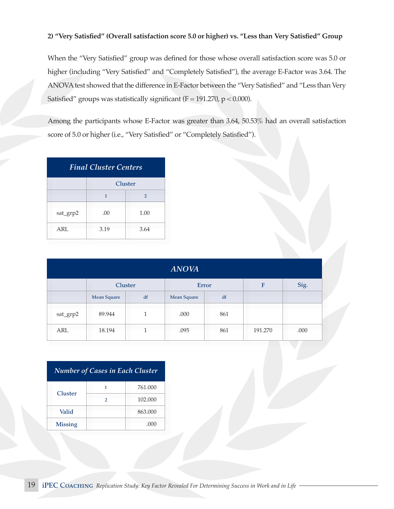#### **2) "Very Satisfied" (Overall satisfaction score 5.0 or higher) vs. "Less than Very Satisfied" Group**

When the "Very Satisfied" group was defined for those whose overall satisfaction score was 5.0 or higher (including "Very Satisfied" and "Completely Satisfied"), the average E-Factor was 3.64. The ANOVA test showed that the difference in E-Factor between the "Very Satisfied" and "Less than Very Satisfied" groups was statistically significant ( $F = 191.270$ ,  $p < 0.000$ ).

Among the participants whose E-Factor was greater than 3.64, 50.53% had an overall satisfaction score of 5.0 or higher (i.e., "Very Satisfied" or "Completely Satisfied").

| <b>Final Cluster Centers</b> |              |                |  |  |
|------------------------------|--------------|----------------|--|--|
|                              | Cluster      |                |  |  |
|                              | $\mathbf{1}$ | $\overline{2}$ |  |  |
| sat_grp2                     | .00.         | 1.00           |  |  |
| ARL                          | 3.19         | 3.64           |  |  |

| <b>ANOVA</b> |             |    |                    |     |         |      |  |
|--------------|-------------|----|--------------------|-----|---------|------|--|
|              | Cluster     |    | Error              |     | F       | Sig. |  |
|              | Mean Square | df | <b>Mean Square</b> | df  |         |      |  |
| sat_grp2     | 89.944      | 1  | .000               | 861 |         |      |  |
| ARL          | 18.194      | 1  | .095               | 861 | 191.270 | .000 |  |

| <b>Number of Cases in Each Cluster</b> |   |         |  |  |  |
|----------------------------------------|---|---------|--|--|--|
| Cluster                                | 1 | 761.000 |  |  |  |
|                                        | 2 | 102.000 |  |  |  |
| Valid                                  |   | 863,000 |  |  |  |
| <b>Missing</b>                         |   | .000    |  |  |  |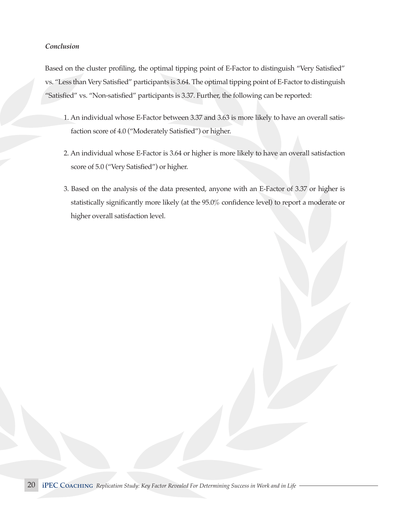#### *Conclusion*

Based on the cluster profiling, the optimal tipping point of E-Factor to distinguish "Very Satisfied" vs. "Less than Very Satisfied" participants is 3.64. The optimal tipping point of E-Factor to distinguish "Satisfied" vs. "Non-satisfied" participants is 3.37. Further, the following can be reported:

- 1. An individual whose E-Factor between 3.37 and 3.63 is more likely to have an overall satisfaction score of 4.0 ("Moderately Satisfied") or higher.
- 2. An individual whose E-Factor is 3.64 or higher is more likely to have an overall satisfaction score of 5.0 ("Very Satisfied") or higher.
- 3. Based on the analysis of the data presented, anyone with an E-Factor of 3.37 or higher is statistically significantly more likely (at the 95.0% confidence level) to report a moderate or higher overall satisfaction level.